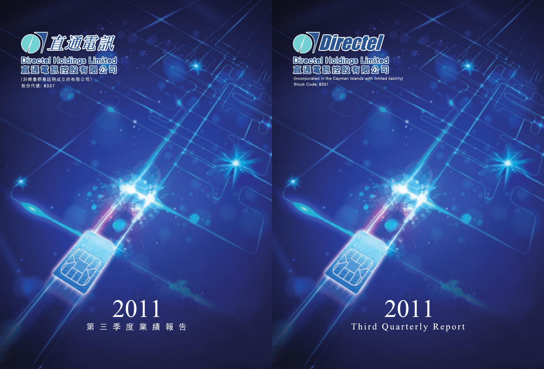

(Incorporated in the Cayman Islands with limited liability) Stock Code: 8337

# 2011 Third Quarterly Report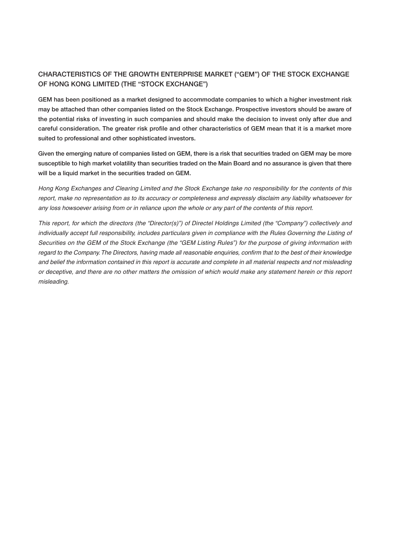# **CHARACTERISTICS OF THE GROWTH ENTERPRISE MARKET ("GEM") OF THE STOCK EXCHANGE OF HONG KONG LIMITED (THE "STOCK EXCHANGE")**

**GEM has been positioned as a market designed to accommodate companies to which a higher investment risk may be attached than other companies listed on the Stock Exchange. Prospective investors should be aware of the potential risks of investing in such companies and should make the decision to invest only after due and careful consideration. The greater risk profile and other characteristics of GEM mean that it is a market more suited to professional and other sophisticated investors.**

**Given the emerging nature of companies listed on GEM, there is a risk that securities traded on GEM may be more susceptible to high market volatility than securities traded on the Main Board and no assurance is given that there will be a liquid market in the securities traded on GEM.**

Hong Kong Exchanges and Clearing Limited and the Stock Exchange take no responsibility for the contents of this report, make no representation as to its accuracy or completeness and expressly disclaim any liability whatsoever for any loss howsoever arising from or in reliance upon the whole or any part of the contents of this report.

This report, for which the directors (the "Director(s)") of Directel Holdings Limited (the "Company") collectively and individually accept full responsibility, includes particulars given in compliance with the Rules Governing the Listing of Securities on the GEM of the Stock Exchange (the "GEM Listing Rules") for the purpose of giving information with regard to the Company. The Directors, having made all reasonable enquiries, confirm that to the best of their knowledge and belief the information contained in this report is accurate and complete in all material respects and not misleading or deceptive, and there are no other matters the omission of which would make any statement herein or this report misleading.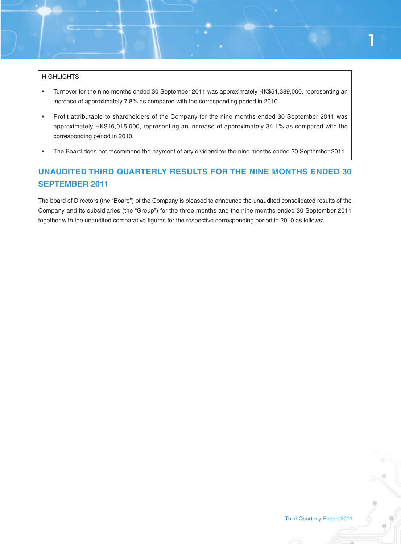#### **HIGHLIGHTS**

- Turnover for the nine months ended 30 September 2011 was approximately HK\$51,389,000, representing an increase of approximately 7.8% as compared with the corresponding period in 2010.
- Profit attributable to shareholders of the Company for the nine months ended 30 September 2011 was approximately HK\$16,015,000, representing an increase of approximately 34.1% as compared with the corresponding period in 2010.
- The Board does not recommend the payment of any dividend for the nine months ended 30 September 2011.

# **UNAUDITED THIRD QUARTERLY RESULTS FOR THE NINE MONTHS ENDED 30 SEPTEMBER 2011**

The board of Directors (the "Board") of the Company is pleased to announce the unaudited consolidated results of the Company and its subsidiaries (the "Group") for the three months and the nine months ended 30 September 2011 together with the unaudited comparative figures for the respective corresponding period in 2010 as follows: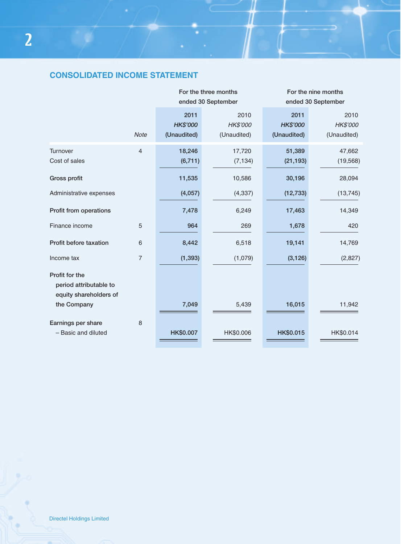# **CONSOLIDATED INCOME STATEMENT**

|                                                                    |                | For the three months<br>ended 30 September |                                 | For the nine months<br>ended 30 September |                                 |
|--------------------------------------------------------------------|----------------|--------------------------------------------|---------------------------------|-------------------------------------------|---------------------------------|
|                                                                    | <b>Note</b>    | 2011<br><b>HK\$'000</b><br>(Unaudited)     | 2010<br>HK\$'000<br>(Unaudited) | 2011<br><b>HK\$'000</b><br>(Unaudited)    | 2010<br>HK\$'000<br>(Unaudited) |
| Turnover<br>Cost of sales                                          | $\overline{4}$ | 18,246<br>(6, 711)                         | 17,720<br>(7, 134)              | 51,389<br>(21, 193)                       | 47,662<br>(19, 568)             |
| Gross profit                                                       |                | 11,535                                     | 10,586                          | 30,196                                    | 28,094                          |
| Administrative expenses                                            |                | (4,057)                                    | (4, 337)                        | (12, 733)                                 | (13, 745)                       |
| Profit from operations                                             |                | 7,478                                      | 6,249                           | 17,463                                    | 14,349                          |
| Finance income                                                     | 5              | 964                                        | 269                             | 1,678                                     | 420                             |
| Profit before taxation                                             | 6              | 8,442                                      | 6,518                           | 19,141                                    | 14,769                          |
| Income tax                                                         | $\overline{7}$ | (1, 393)                                   | (1,079)                         | (3, 126)                                  | (2,827)                         |
| Profit for the<br>period attributable to<br>equity shareholders of |                |                                            |                                 |                                           |                                 |
| the Company                                                        |                | 7,049                                      | 5,439                           | 16,015                                    | 11,942                          |
| Earnings per share<br>- Basic and diluted                          | 8              | HK\$0.007                                  | HK\$0.006                       | HK\$0.015                                 | HK\$0.014                       |

۰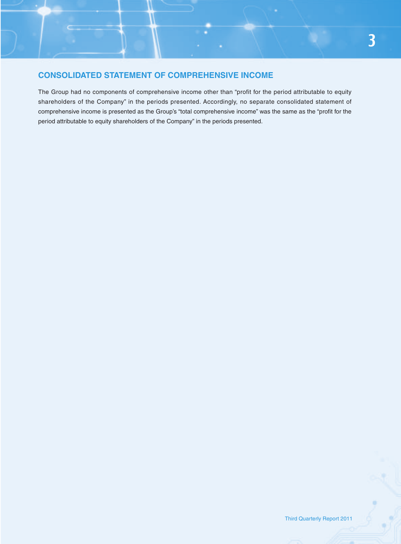# **CONSOLIDATED STATEMENT OF COMPREHENSIVE INCOME**

The Group had no components of comprehensive income other than "profit for the period attributable to equity shareholders of the Company" in the periods presented. Accordingly, no separate consolidated statement of comprehensive income is presented as the Group's "total comprehensive income" was the same as the "profit for the period attributable to equity shareholders of the Company" in the periods presented.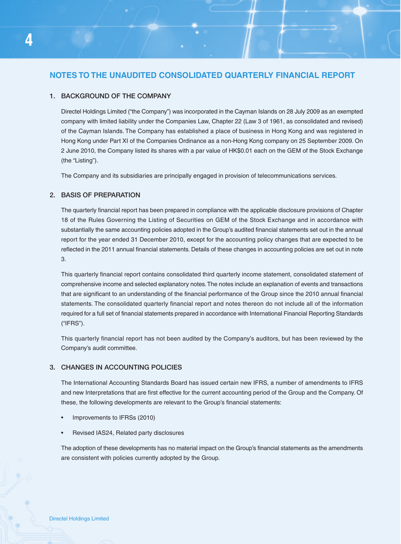# **NOTES TO THE UNAUDITED CONSOLIDATED QUARTERLY FINANCIAL REPORT**

#### **1. BACKGROUND OF THE COMPANY**

Directel Holdings Limited ("the Company") was incorporated in the Cayman Islands on 28 July 2009 as an exempted company with limited liability under the Companies Law, Chapter 22 (Law 3 of 1961, as consolidated and revised) of the Cayman Islands. The Company has established a place of business in Hong Kong and was registered in Hong Kong under Part XI of the Companies Ordinance as a non-Hong Kong company on 25 September 2009. On 2 June 2010, the Company listed its shares with a par value of HK\$0.01 each on the GEM of the Stock Exchange (the "Listing").

The Company and its subsidiaries are principally engaged in provision of telecommunications services.

#### **2. BASIS OF PREPARATION**

The quarterly financial report has been prepared in compliance with the applicable disclosure provisions of Chapter 18 of the Rules Governing the Listing of Securities on GEM of the Stock Exchange and in accordance with substantially the same accounting policies adopted in the Group's audited financial statements set out in the annual report for the year ended 31 December 2010, except for the accounting policy changes that are expected to be reflected in the 2011 annual financial statements. Details of these changes in accounting policies are set out in note 3.

This quarterly financial report contains consolidated third quarterly income statement, consolidated statement of comprehensive income and selected explanatory notes. The notes include an explanation of events and transactions that are significant to an understanding of the financial performance of the Group since the 2010 annual financial statements. The consolidated quarterly financial report and notes thereon do not include all of the information required for a full set of financial statements prepared in accordance with International Financial Reporting Standards ("IFRS").

This quarterly financial report has not been audited by the Company's auditors, but has been reviewed by the Company's audit committee.

#### **3. CHANGES IN ACCOUNTING POLICIES**

The International Accounting Standards Board has issued certain new IFRS, a number of amendments to IFRS and new Interpretations that are first effective for the current accounting period of the Group and the Company. Of these, the following developments are relevant to the Group's financial statements:

- Improvements to IFRSs (2010)
- Revised IAS24, Related party disclosures

The adoption of these developments has no material impact on the Group's financial statements as the amendments are consistent with policies currently adopted by the Group.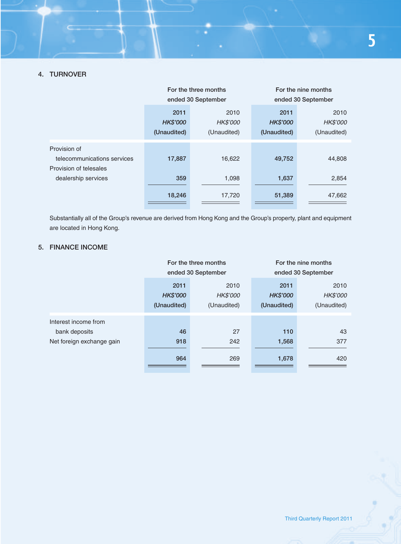|                                                                                              | For the three months<br>ended 30 September |                                 | For the nine months<br>ended 30 September |                                 |
|----------------------------------------------------------------------------------------------|--------------------------------------------|---------------------------------|-------------------------------------------|---------------------------------|
|                                                                                              | 2011<br><b>HK\$'000</b><br>(Unaudited)     | 2010<br>HK\$'000<br>(Unaudited) | 2011<br><b>HK\$'000</b><br>(Unaudited)    | 2010<br>HK\$'000<br>(Unaudited) |
| Provision of<br>telecommunications services<br>Provision of telesales<br>dealership services | 17,887                                     | 16,622                          | 49,752                                    | 44,808                          |
|                                                                                              | 359                                        | 1,098                           | 1,637                                     | 2,854                           |
|                                                                                              | 18,246                                     | 17,720                          | 51,389                                    | 47,662                          |

Substantially all of the Group's revenue are derived from Hong Kong and the Group's property, plant and equipment are located in Hong Kong.

# **5. FINANCE INCOME**

|                           | For the three months                   |                                 | For the nine months                    |                                 |
|---------------------------|----------------------------------------|---------------------------------|----------------------------------------|---------------------------------|
|                           | ended 30 September                     |                                 | ended 30 September                     |                                 |
|                           | 2011<br><b>HK\$'000</b><br>(Unaudited) | 2010<br>HK\$'000<br>(Unaudited) | 2011<br><b>HK\$'000</b><br>(Unaudited) | 2010<br>HK\$'000<br>(Unaudited) |
| Interest income from      |                                        |                                 |                                        |                                 |
| bank deposits             | 46                                     | 27                              | 110                                    | 43                              |
| Net foreign exchange gain | 918                                    | 242                             | 1,568                                  | 377                             |
|                           | 964                                    | 269                             | 1,678                                  | 420                             |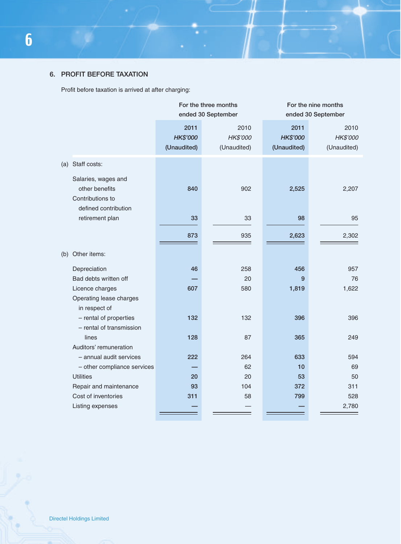# **6. PROFIT BEFORE TAXATION**

Profit before taxation is arrived at after charging:

|     |                                                                                     | For the three months<br>ended 30 September |                                 | For the nine months<br>ended 30 September |                                 |
|-----|-------------------------------------------------------------------------------------|--------------------------------------------|---------------------------------|-------------------------------------------|---------------------------------|
|     |                                                                                     | 2011<br>HK\$'000<br>(Unaudited)            | 2010<br>HK\$'000<br>(Unaudited) | 2011<br>HK\$'000<br>(Unaudited)           | 2010<br>HK\$'000<br>(Unaudited) |
| (a) | Staff costs:                                                                        |                                            |                                 |                                           |                                 |
|     | Salaries, wages and<br>other benefits<br>Contributions to                           | 840                                        | 902                             | 2,525                                     | 2,207                           |
|     | defined contribution<br>retirement plan                                             | 33                                         | 33                              | 98                                        | 95                              |
|     |                                                                                     | 873                                        | 935                             | 2,623                                     | 2,302                           |
| (b) | Other items:                                                                        |                                            |                                 |                                           |                                 |
|     | Depreciation<br>Bad debts written off<br>Licence charges<br>Operating lease charges | 46<br>607                                  | 258<br>20<br>580                | 456<br>9<br>1,819                         | 957<br>76<br>1,622              |
|     | in respect of<br>- rental of properties<br>- rental of transmission                 | 132                                        | 132                             | 396                                       | 396                             |
|     | lines<br>Auditors' remuneration                                                     | 128                                        | 87                              | 365                                       | 249                             |
|     | - annual audit services<br>- other compliance services                              | 222                                        | 264<br>62                       | 633<br>10                                 | 594<br>69                       |
|     | <b>Utilities</b>                                                                    | 20                                         | 20                              | 53                                        | 50                              |
|     | Repair and maintenance                                                              | 93                                         | 104                             | 372                                       | 311                             |
|     | Cost of inventories                                                                 | 311                                        | 58                              | 799                                       | 528                             |
|     | Listing expenses                                                                    |                                            |                                 |                                           | 2,780                           |

- 3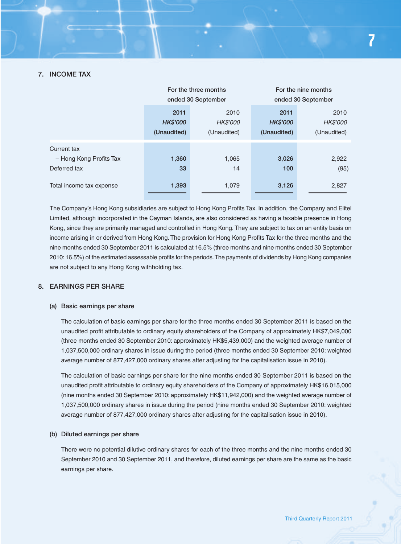#### **7. INCOME TAX**

|                                                        | For the three months<br>ended 30 September |                                 | For the nine months<br>ended 30 September |                                 |
|--------------------------------------------------------|--------------------------------------------|---------------------------------|-------------------------------------------|---------------------------------|
|                                                        | 2011<br><b>HK\$'000</b><br>(Unaudited)     | 2010<br>HK\$'000<br>(Unaudited) | 2011<br><b>HK\$'000</b><br>(Unaudited)    | 2010<br>HK\$'000<br>(Unaudited) |
| Current tax<br>- Hong Kong Profits Tax<br>Deferred tax | 1,360<br>33                                | 1,065<br>14                     | 3,026<br>100                              | 2,922<br>(95)                   |
| Total income tax expense                               | 1,393                                      | 1,079                           | 3,126                                     | 2,827                           |

The Company's Hong Kong subsidiaries are subject to Hong Kong Profits Tax. In addition, the Company and Elitel Limited, although incorporated in the Cayman Islands, are also considered as having a taxable presence in Hong Kong, since they are primarily managed and controlled in Hong Kong. They are subject to tax on an entity basis on income arising in or derived from Hong Kong. The provision for Hong Kong Profits Tax for the three months and the nine months ended 30 September 2011 is calculated at 16.5% (three months and nine months ended 30 September 2010: 16.5%) of the estimated assessable profits for the periods. The payments of dividends by Hong Kong companies are not subject to any Hong Kong withholding tax.

#### **8. EARNINGS PER SHARE**

#### **(a) Basic earnings per share**

The calculation of basic earnings per share for the three months ended 30 September 2011 is based on the unaudited profit attributable to ordinary equity shareholders of the Company of approximately HK\$7,049,000 (three months ended 30 September 2010: approximately HK\$5,439,000) and the weighted average number of 1,037,500,000 ordinary shares in issue during the period (three months ended 30 September 2010: weighted average number of 877,427,000 ordinary shares after adjusting for the capitalisation issue in 2010).

The calculation of basic earnings per share for the nine months ended 30 September 2011 is based on the unaudited profit attributable to ordinary equity shareholders of the Company of approximately HK\$16,015,000 (nine months ended 30 September 2010: approximately HK\$11,942,000) and the weighted average number of 1,037,500,000 ordinary shares in issue during the period (nine months ended 30 September 2010: weighted average number of 877,427,000 ordinary shares after adjusting for the capitalisation issue in 2010).

#### **(b) Diluted earnings per share**

There were no potential dilutive ordinary shares for each of the three months and the nine months ended 30 September 2010 and 30 September 2011, and therefore, diluted earnings per share are the same as the basic earnings per share.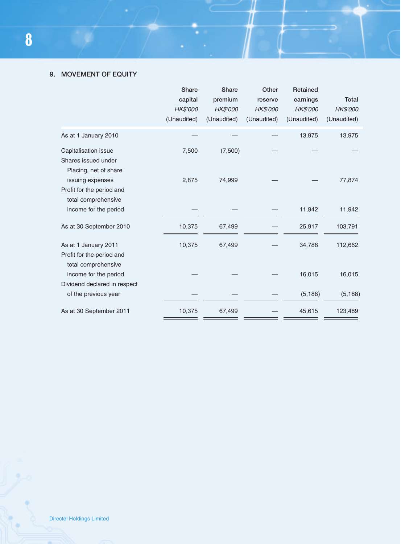# **9. MOVEMENT OF EQUITY**

|                                                                          | <b>Share</b><br>capital<br>HK\$'000<br>(Unaudited) | <b>Share</b><br>premium<br>HK\$'000<br>(Unaudited) | Other<br>reserve<br>HK\$'000<br>(Unaudited) | Retained<br>earnings<br>HK\$'000<br>(Unaudited) | <b>Total</b><br>HK\$'000<br>(Unaudited) |
|--------------------------------------------------------------------------|----------------------------------------------------|----------------------------------------------------|---------------------------------------------|-------------------------------------------------|-----------------------------------------|
| As at 1 January 2010                                                     |                                                    |                                                    |                                             | 13,975                                          | 13,975                                  |
| Capitalisation issue<br>Shares issued under<br>Placing, net of share     | 7,500                                              | (7,500)                                            |                                             |                                                 |                                         |
| issuing expenses<br>Profit for the period and<br>total comprehensive     | 2,875                                              | 74,999                                             |                                             |                                                 | 77,874                                  |
| income for the period                                                    |                                                    |                                                    |                                             | 11,942                                          | 11,942                                  |
| As at 30 September 2010                                                  | 10,375                                             | 67,499                                             |                                             | 25,917                                          | 103,791                                 |
| As at 1 January 2011<br>Profit for the period and<br>total comprehensive | 10,375                                             | 67,499                                             |                                             | 34,788                                          | 112,662                                 |
| income for the period<br>Dividend declared in respect                    |                                                    |                                                    |                                             | 16,015                                          | 16,015                                  |
| of the previous year                                                     |                                                    |                                                    |                                             | (5, 188)                                        | (5, 188)                                |
| As at 30 September 2011                                                  | 10,375                                             | 67,499                                             |                                             | 45,615                                          | 123,489                                 |

 $\mathcal{L}_{\mathcal{A}}$ 

۰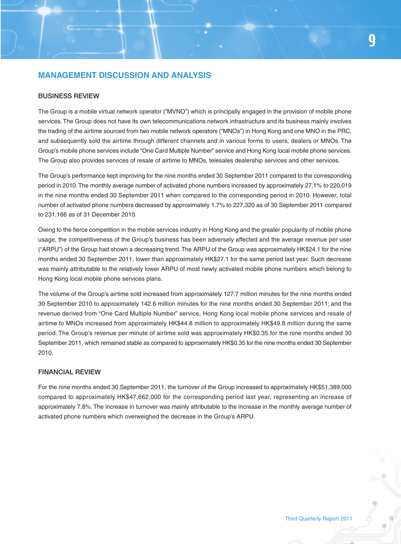# **MANAGEMENT DISCUSSION AND ANALYSIS**

#### **BUSINESS REVIEW**

The Group is a mobile virtual network operator ("MVNO") which is principally engaged in the provision of mobile phone services. The Group does not have its own telecommunications network infrastructure and its business mainly involves the trading of the airtime sourced from two mobile network operators ("MNOs") in Hong Kong and one MNO in the PRC, and subsequently sold the airtime through different channels and in various forms to users, dealers or MNOs. The Group's mobile phone services include "One Card Multiple Number" service and Hong Kong local mobile phone services. The Group also provides services of resale of airtime to MNOs, telesales dealership services and other services.

The Group's performance kept improving for the nine months ended 30 September 2011 compared to the corresponding period in 2010. The monthly average number of activated phone numbers increased by approximately 27.1% to 220,019 in the nine months ended 30 September 2011 when compared to the corresponding period in 2010. However, total number of activated phone numbers decreased by approximately 1.7% to 227,320 as of 30 September 2011 compared to 231,166 as of 31 December 2010.

Owing to the fierce competition in the mobile services industry in Hong Kong and the greater popularity of mobile phone usage, the competitiveness of the Group's business has been adversely affected and the average revenue per user ("ARPU") of the Group had shown a decreasing trend. The ARPU of the Group was approximately HK\$24.1 for the nine months ended 30 September 2011, lower than approximately HK\$27.1 for the same period last year. Such decrease was mainly attributable to the relatively lower ARPU of most newly activated mobile phone numbers which belong to Hong Kong local mobile phone services plans.

The volume of the Group's airtime sold increased from approximately 127.7 million minutes for the nine months ended 30 September 2010 to approximately 142.6 million minutes for the nine months ended 30 September 2011; and the revenue derived from "One Card Multiple Number" service, Hong Kong local mobile phone services and resale of airtime to MNOs increased from approximately HK\$44.8 million to approximately HK\$49.8 million during the same period. The Group's revenue per minute of airtime sold was approximately HK\$0.35 for the nine months ended 30 September 2011, which remained stable as compared to approximately HK\$0.35 for the nine months ended 30 September 2010.

#### **FINANCIAL REVIEW**

For the nine months ended 30 September 2011, the turnover of the Group increased to approximately HK\$51,389,000 compared to approximately HK\$47,662,000 for the corresponding period last year, representing an increase of approximately 7.8%. The increase in turnover was mainly attributable to the increase in the monthly average number of activated phone numbers which overweighed the decrease in the Group's ARPU.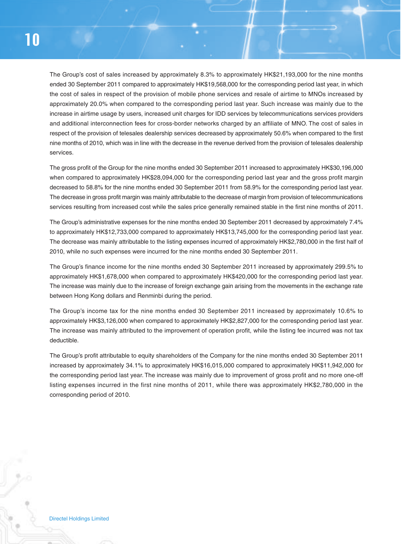The Group's cost of sales increased by approximately 8.3% to approximately HK\$21,193,000 for the nine months ended 30 September 2011 compared to approximately HK\$19,568,000 for the corresponding period last year, in which the cost of sales in respect of the provision of mobile phone services and resale of airtime to MNOs increased by approximately 20.0% when compared to the corresponding period last year. Such increase was mainly due to the increase in airtime usage by users, increased unit charges for IDD services by telecommunications services providers and additional interconnection fees for cross-border networks charged by an affiliate of MNO. The cost of sales in respect of the provision of telesales dealership services decreased by approximately 50.6% when compared to the first nine months of 2010, which was in line with the decrease in the revenue derived from the provision of telesales dealership services.

The gross profit of the Group for the nine months ended 30 September 2011 increased to approximately HK\$30,196,000 when compared to approximately HK\$28,094,000 for the corresponding period last year and the gross profit margin decreased to 58.8% for the nine months ended 30 September 2011 from 58.9% for the corresponding period last year. The decrease in gross profit margin was mainly attributable to the decrease of margin from provision of telecommunications services resulting from increased cost while the sales price generally remained stable in the first nine months of 2011.

The Group's administrative expenses for the nine months ended 30 September 2011 decreased by approximately 7.4% to approximately HK\$12,733,000 compared to approximately HK\$13,745,000 for the corresponding period last year. The decrease was mainly attributable to the listing expenses incurred of approximately HK\$2,780,000 in the first half of 2010, while no such expenses were incurred for the nine months ended 30 September 2011.

The Group's finance income for the nine months ended 30 September 2011 increased by approximately 299.5% to approximately HK\$1,678,000 when compared to approximately HK\$420,000 for the corresponding period last year. The increase was mainly due to the increase of foreign exchange gain arising from the movements in the exchange rate between Hong Kong dollars and Renminbi during the period.

The Group's income tax for the nine months ended 30 September 2011 increased by approximately 10.6% to approximately HK\$3,126,000 when compared to approximately HK\$2,827,000 for the corresponding period last year. The increase was mainly attributed to the improvement of operation profit, while the listing fee incurred was not tax deductible.

The Group's profit attributable to equity shareholders of the Company for the nine months ended 30 September 2011 increased by approximately 34.1% to approximately HK\$16,015,000 compared to approximately HK\$11,942,000 for the corresponding period last year. The increase was mainly due to improvement of gross profit and no more one-off listing expenses incurred in the first nine months of 2011, while there was approximately HK\$2,780,000 in the corresponding period of 2010.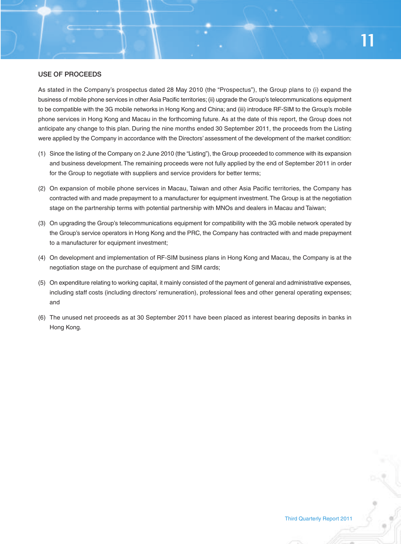#### **USE OF PROCEEDS**

As stated in the Company's prospectus dated 28 May 2010 (the "Prospectus"), the Group plans to (i) expand the business of mobile phone services in other Asia Pacific territories; (ii) upgrade the Group's telecommunications equipment to be compatible with the 3G mobile networks in Hong Kong and China; and (iii) introduce RF-SIM to the Group's mobile phone services in Hong Kong and Macau in the forthcoming future. As at the date of this report, the Group does not anticipate any change to this plan. During the nine months ended 30 September 2011, the proceeds from the Listing were applied by the Company in accordance with the Directors' assessment of the development of the market condition:

- (1) Since the listing of the Company on 2 June 2010 (the "Listing"), the Group proceeded to commence with its expansion and business development. The remaining proceeds were not fully applied by the end of September 2011 in order for the Group to negotiate with suppliers and service providers for better terms;
- (2) On expansion of mobile phone services in Macau, Taiwan and other Asia Pacific territories, the Company has contracted with and made prepayment to a manufacturer for equipment investment. The Group is at the negotiation stage on the partnership terms with potential partnership with MNOs and dealers in Macau and Taiwan;
- (3) On upgrading the Group's telecommunications equipment for compatibility with the 3G mobile network operated by the Group's service operators in Hong Kong and the PRC, the Company has contracted with and made prepayment to a manufacturer for equipment investment;
- (4) On development and implementation of RF-SIM business plans in Hong Kong and Macau, the Company is at the negotiation stage on the purchase of equipment and SIM cards;
- (5) On expenditure relating to working capital, it mainly consisted of the payment of general and administrative expenses, including staff costs (including directors' remuneration), professional fees and other general operating expenses; and
- (6) The unused net proceeds as at 30 September 2011 have been placed as interest bearing deposits in banks in Hong Kong.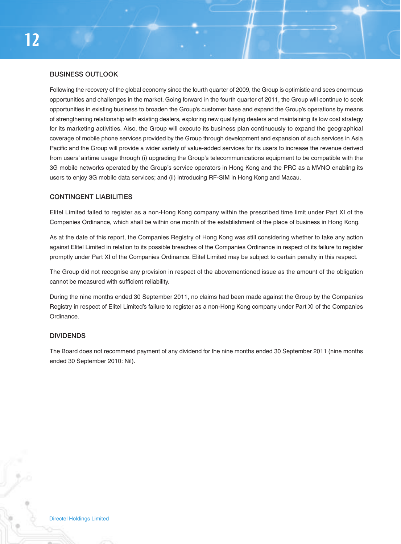#### **BUSINESS OUTLOOK**

Following the recovery of the global economy since the fourth quarter of 2009, the Group is optimistic and sees enormous opportunities and challenges in the market. Going forward in the fourth quarter of 2011, the Group will continue to seek opportunities in existing business to broaden the Group's customer base and expand the Group's operations by means of strengthening relationship with existing dealers, exploring new qualifying dealers and maintaining its low cost strategy for its marketing activities. Also, the Group will execute its business plan continuously to expand the geographical coverage of mobile phone services provided by the Group through development and expansion of such services in Asia Pacific and the Group will provide a wider variety of value-added services for its users to increase the revenue derived from users' airtime usage through (i) upgrading the Group's telecommunications equipment to be compatible with the 3G mobile networks operated by the Group's service operators in Hong Kong and the PRC as a MVNO enabling its users to enjoy 3G mobile data services; and (ii) introducing RF-SIM in Hong Kong and Macau.

#### **CONTINGENT LIABILITIES**

Elitel Limited failed to register as a non-Hong Kong company within the prescribed time limit under Part XI of the Companies Ordinance, which shall be within one month of the establishment of the place of business in Hong Kong.

As at the date of this report, the Companies Registry of Hong Kong was still considering whether to take any action against Elitel Limited in relation to its possible breaches of the Companies Ordinance in respect of its failure to register promptly under Part XI of the Companies Ordinance. Elitel Limited may be subject to certain penalty in this respect.

The Group did not recognise any provision in respect of the abovementioned issue as the amount of the obligation cannot be measured with sufficient reliability.

During the nine months ended 30 September 2011, no claims had been made against the Group by the Companies Registry in respect of Elitel Limited's failure to register as a non-Hong Kong company under Part XI of the Companies Ordinance.

#### **DIVIDENDS**

The Board does not recommend payment of any dividend for the nine months ended 30 September 2011 (nine months ended 30 September 2010: Nil).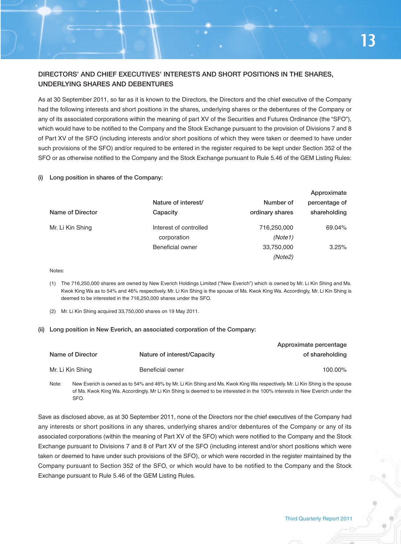# **DIRECTORS' AND CHIEF EXECUTIVES' INTERESTS AND SHORT POSITIONS IN THE SHARES, UNDERLYING SHARES AND DEBENTURES**

As at 30 September 2011, so far as it is known to the Directors, the Directors and the chief executive of the Company had the following interests and short positions in the shares, underlying shares or the debentures of the Company or any of its associated corporations within the meaning of part XV of the Securities and Futures Ordinance (the "SFO"), which would have to be notified to the Company and the Stock Exchange pursuant to the provision of Divisions 7 and 8 of Part XV of the SFO (including interests and/or short positions of which they were taken or deemed to have under such provisions of the SFO) and/or required to be entered in the register required to be kept under Section 352 of the SFO or as otherwise notified to the Company and the Stock Exchange pursuant to Rule 5.46 of the GEM Listing Rules:

#### **(i) Long position in shares of the Company:**

|                  |                        |                 | Approximate   |
|------------------|------------------------|-----------------|---------------|
|                  | Nature of interest/    | Number of       | percentage of |
| Name of Director | Capacity               | ordinary shares | shareholding  |
| Mr. Li Kin Shing | Interest of controlled | 716,250,000     | 69.04%        |
|                  | corporation            | (Note1)         |               |
|                  | Beneficial owner       | 33,750,000      | 3.25%         |
|                  |                        | (Note2)         |               |

Notes:

(1) The 716,250,000 shares are owned by New Everich Holdings Limited ("New Everich") which is owned by Mr. Li Kin Shing and Ms. Kwok King Wa as to 54% and 46% respectively. Mr. Li Kin Shing is the spouse of Ms. Kwok King Wa. Accordingly, Mr. Li Kin Shing is deemed to be interested in the 716,250,000 shares under the SFO.

(2) Mr. Li Kin Shing acquired 33,750,000 shares on 19 May 2011.

#### **(ii) Long position in New Everich, an associated corporation of the Company:**

|                  |                             | Approximate percentage |
|------------------|-----------------------------|------------------------|
| Name of Director | Nature of interest/Capacity | of shareholding        |
| Mr. Li Kin Shing | Beneficial owner            | 100.00%                |

Note: New Everich is owned as to 54% and 46% by Mr. Li Kin Shing and Ms. Kwok King Wa respectively. Mr. Li Kin Shing is the spouse of Ms. Kwok King Wa. Accordingly. Mr Li Kin Shing is deemed to be interested in the 100% interests in New Everich under the SFO.

Save as disclosed above, as at 30 September 2011, none of the Directors nor the chief executives of the Company had any interests or short positions in any shares, underlying shares and/or debentures of the Company or any of its associated corporations (within the meaning of Part XV of the SFO) which were notified to the Company and the Stock Exchange pursuant to Divisions 7 and 8 of Part XV of the SFO (including interest and/or short positions which were taken or deemed to have under such provisions of the SFO), or which were recorded in the register maintained by the Company pursuant to Section 352 of the SFO, or which would have to be notified to the Company and the Stock Exchange pursuant to Rule 5.46 of the GEM Listing Rules.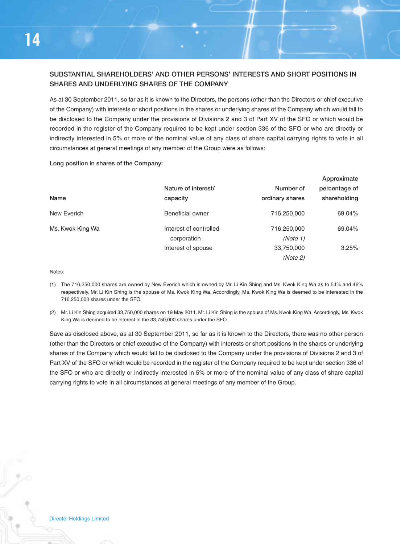# **SUBSTANTIAL SHAREHOLDERS' AND OTHER PERSONS' INTERESTS AND SHORT POSITIONS IN SHARES AND UNDERLYING SHARES OF THE COMPANY**

As at 30 September 2011, so far as it is known to the Directors, the persons (other than the Directors or chief executive of the Company) with interests or short positions in the shares or underlying shares of the Company which would fall to be disclosed to the Company under the provisions of Divisions 2 and 3 of Part XV of the SFO or which would be recorded in the register of the Company required to be kept under section 336 of the SFO or who are directly or indirectly interested in 5% or more of the nominal value of any class of share capital carrying rights to vote in all circumstances at general meetings of any member of the Group were as follows:

**Long position in shares of the Company:**

|                  |                        |                 | Approximate   |
|------------------|------------------------|-----------------|---------------|
|                  | Nature of interest/    | Number of       | percentage of |
| Name             | capacity               | ordinary shares | shareholding  |
| New Everich      | Beneficial owner       | 716,250,000     | 69.04%        |
| Ms. Kwok King Wa | Interest of controlled | 716,250,000     | 69.04%        |
|                  | corporation            | (Note 1)        |               |
|                  | Interest of spouse     | 33,750,000      | 3.25%         |
|                  |                        | (Note 2)        |               |

Notes:

- (1) The 716,250,000 shares are owned by New Everich which is owned by Mr. Li Kin Shing and Ms. Kwok King Wa as to 54% and 46% respectively. Mr. Li Kin Shing is the spouse of Ms. Kwok King Wa. Accordingly, Ms. Kwok King Wa is deemed to be interested in the 716,250,000 shares under the SFO.
- (2) Mr. Li Kin Shing acquired 33,750,000 shares on 19 May 2011. Mr. Li Kin Shing is the spouse of Ms. Kwok King Wa. Accordingly, Ms. Kwok King Wa is deemed to be interest in the 33,750,000 shares under the SFO.

Save as disclosed above, as at 30 September 2011, so far as it is known to the Directors, there was no other person (other than the Directors or chief executive of the Company) with interests or short positions in the shares or underlying shares of the Company which would fall to be disclosed to the Company under the provisions of Divisions 2 and 3 of Part XV of the SFO or which would be recorded in the register of the Company required to be kept under section 336 of the SFO or who are directly or indirectly interested in 5% or more of the nominal value of any class of share capital carrying rights to vote in all circumstances at general meetings of any member of the Group.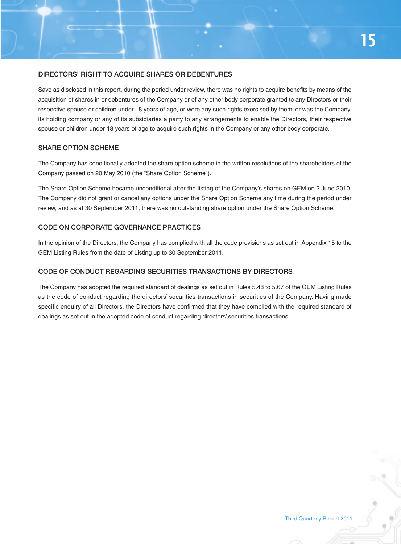#### **DIRECTORS' RIGHT TO ACQUIRE SHARES OR DEBENTURES**

Save as disclosed in this report, during the period under review, there was no rights to acquire benefits by means of the acquisition of shares in or debentures of the Company or of any other body corporate granted to any Directors or their respective spouse or children under 18 years of age, or were any such rights exercised by them; or was the Company, its holding company or any of its subsidiaries a party to any arrangements to enable the Directors, their respective spouse or children under 18 years of age to acquire such rights in the Company or any other body corporate.

#### **SHARE OPTION SCHEME**

The Company has conditionally adopted the share option scheme in the written resolutions of the shareholders of the Company passed on 20 May 2010 (the "Share Option Scheme").

The Share Option Scheme became unconditional after the listing of the Company's shares on GEM on 2 June 2010. The Company did not grant or cancel any options under the Share Option Scheme any time during the period under review, and as at 30 September 2011, there was no outstanding share option under the Share Option Scheme.

### **CODE ON CORPORATE GOVERNANCE PRACTICES**

In the opinion of the Directors, the Company has complied with all the code provisions as set out in Appendix 15 to the GEM Listing Rules from the date of Listing up to 30 September 2011.

#### **CODE OF CONDUCT REGARDING SECURITIES TRANSACTIONS BY DIRECTORS**

The Company has adopted the required standard of dealings as set out in Rules 5.48 to 5.67 of the GEM Listing Rules as the code of conduct regarding the directors' securities transactions in securities of the Company. Having made specific enquiry of all Directors, the Directors have confirmed that they have complied with the required standard of dealings as set out in the adopted code of conduct regarding directors' securities transactions.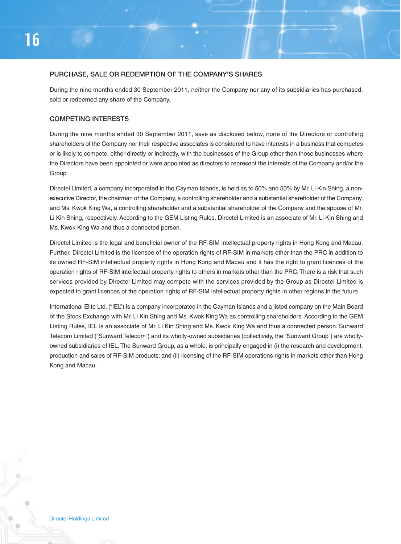#### **PURCHASE, SALE OR REDEMPTION OF THE COMPANY'S SHARES**

During the nine months ended 30 September 2011, neither the Company nor any of its subsidiaries has purchased, sold or redeemed any share of the Company.

#### **COMPETING INTERESTS**

During the nine months ended 30 September 2011, save as disclosed below, none of the Directors or controlling shareholders of the Company nor their respective associates is considered to have interests in a business that competes or is likely to compete, either directly or indirectly, with the businesses of the Group other than those businesses where the Directors have been appointed or were appointed as directors to represent the interests of the Company and/or the Group.

Directel Limited, a company incorporated in the Cayman Islands, is held as to 50% and 50% by Mr. Li Kin Shing, a nonexecutive Director, the chairman of the Company, a controlling shareholder and a substantial shareholder of the Company, and Ms. Kwok King Wa, a controlling shareholder and a substantial shareholder of the Company and the spouse of Mr. Li Kin Shing, respectively. According to the GEM Listing Rules, Directel Limited is an associate of Mr. Li Kin Shing and Ms. Kwok King Wa and thus a connected person.

Directel Limited is the legal and beneficial owner of the RF-SIM intellectual property rights in Hong Kong and Macau. Further, Directel Limited is the licensee of the operation rights of RF-SIM in markets other than the PRC in addition to its owned RF-SIM intellectual property rights in Hong Kong and Macau and it has the right to grant licences of the operation rights of RF-SIM intellectual property rights to others in markets other than the PRC. There is a risk that such services provided by Directel Limited may compete with the services provided by the Group as Directel Limited is expected to grant licences of the operation rights of RF-SIM intellectual property rights in other regions in the future.

International Elite Ltd. ("IEL") is a company incorporated in the Cayman Islands and a listed company on the Main Board of the Stock Exchange with Mr. Li Kin Shing and Ms. Kwok King Wa as controlling shareholders. According to the GEM Listing Rules, IEL is an associate of Mr. Li Kin Shing and Ms. Kwok King Wa and thus a connected person. Sunward Telecom Limited ("Sunward Telecom") and its wholly-owned subsidiaries (collectively, the "Sunward Group") are whollyowned subsidiaries of IEL. The Sunward Group, as a whole, is principally engaged in (i) the research and development, production and sales of RF-SIM products; and (ii) licensing of the RF-SIM operations rights in markets other than Hong Kong and Macau.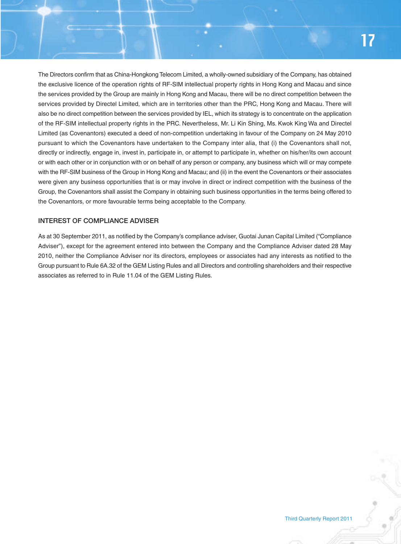The Directors confirm that as China-Hongkong Telecom Limited, a wholly-owned subsidiary of the Company, has obtained the exclusive licence of the operation rights of RF-SIM intellectual property rights in Hong Kong and Macau and since the services provided by the Group are mainly in Hong Kong and Macau, there will be no direct competition between the services provided by Directel Limited, which are in territories other than the PRC, Hong Kong and Macau. There will also be no direct competition between the services provided by IEL, which its strategy is to concentrate on the application of the RF-SIM intellectual property rights in the PRC. Nevertheless, Mr. Li Kin Shing, Ms. Kwok King Wa and Directel Limited (as Covenantors) executed a deed of non-competition undertaking in favour of the Company on 24 May 2010 pursuant to which the Covenantors have undertaken to the Company inter alia, that (i) the Covenantors shall not, directly or indirectly, engage in, invest in, participate in, or attempt to participate in, whether on his/her/its own account or with each other or in conjunction with or on behalf of any person or company, any business which will or may compete with the RF-SIM business of the Group in Hong Kong and Macau; and (ii) in the event the Covenantors or their associates were given any business opportunities that is or may involve in direct or indirect competition with the business of the Group, the Covenantors shall assist the Company in obtaining such business opportunities in the terms being offered to the Covenantors, or more favourable terms being acceptable to the Company.

#### **INTEREST OF COMPLIANCE ADVISER**

As at 30 September 2011, as notified by the Company's compliance adviser, Guotai Junan Capital Limited ("Compliance Adviser"), except for the agreement entered into between the Company and the Compliance Adviser dated 28 May 2010, neither the Compliance Adviser nor its directors, employees or associates had any interests as notified to the Group pursuant to Rule 6A.32 of the GEM Listing Rules and all Directors and controlling shareholders and their respective associates as referred to in Rule 11.04 of the GEM Listing Rules.